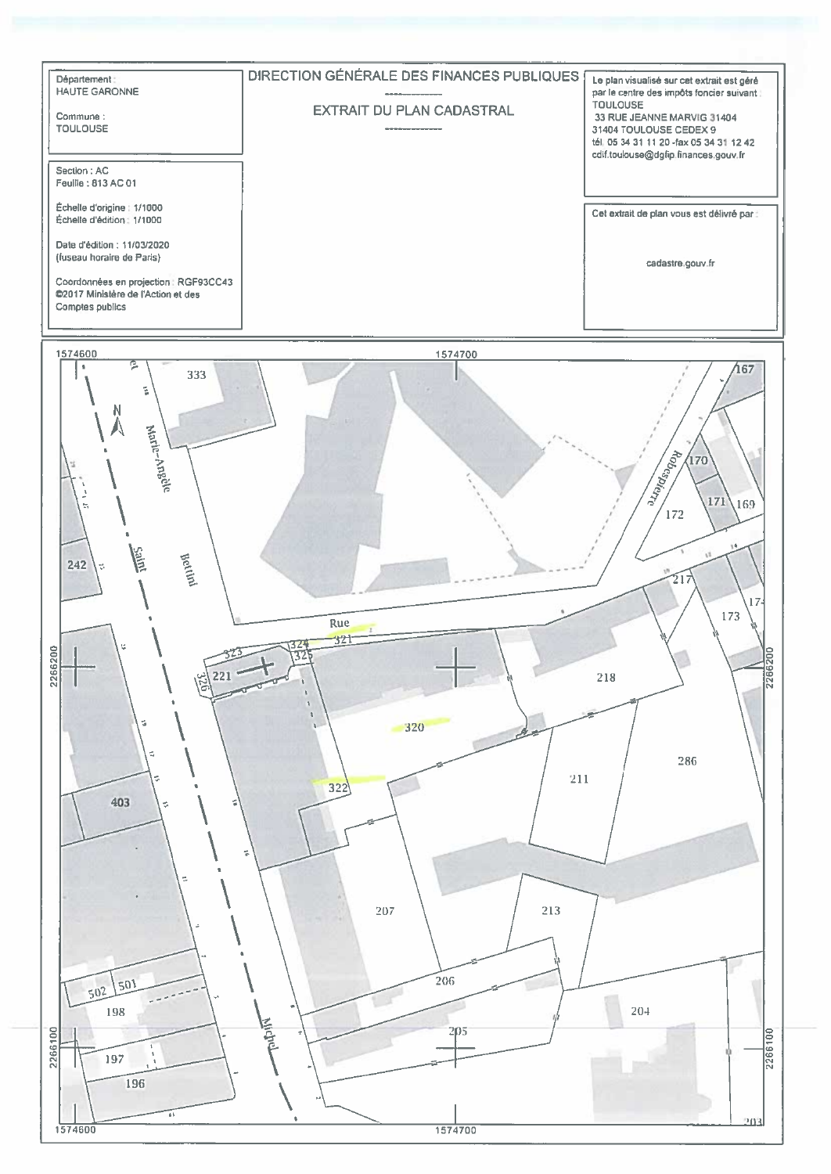